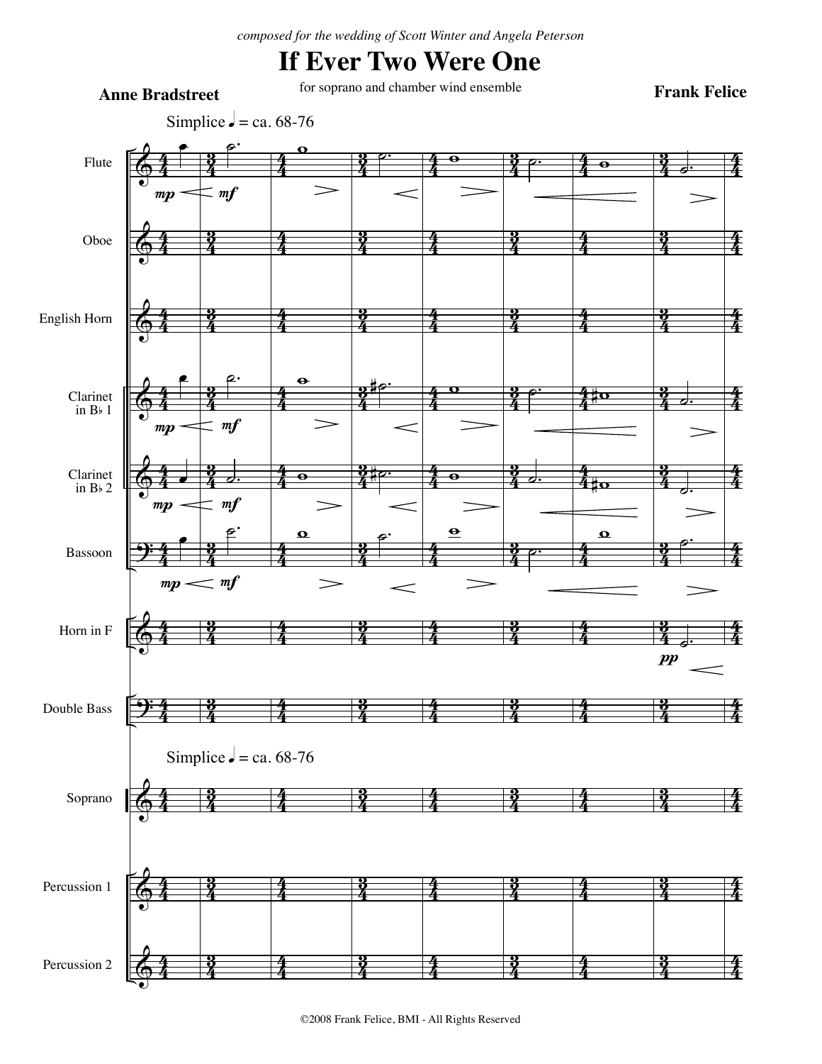## **If Ever Two Were One**

for soprano and chamber wind ensemble **Anne BradstreetFrank Felice** Simplice  $\epsilon$  = ca. 68-76 ˙. œ  $\overline{\mathbf{o}}$ ˙. 4  $\frac{3}{2}$ 4 <u>ភ្</u> 4  $\overline{\mathbf{e}}$ <u>ភូ</u> 4 <u>ភូ</u> 4 ˙.  $\overline{\bullet}$ Flute ˙.  $\Phi$ 4 4  $_{4}^{4}$ 4  $_{4}^{4}$ 4 4 4 4  $\geq$  $\leq mf$  $\boldsymbol{m}\boldsymbol{p}$ 4 <u>ភ្</u> 4 <u>ភ្</u> 4 <u>ភូ</u> 4 <u>ភូ</u> 4 Oboe  $\Phi$ 4 4 4 4 4 4 4 4 4 4  $\frac{3}{2}$ 4  $\frac{3}{2}$ 4 <u>ទ្</u> 4 <u>ទ្</u> 4 English Horn  $\Phi$ 4  $\frac{3}{4}$  $_{4}^{4}$  $\frac{3}{4}$  $_{4}^{4}$  $\frac{3}{4}$ 4  $\frac{3}{4}$ 4 œ ˙.  $\bullet$ #˙. o ˙. 4  $\frac{3}{2}$ 4  $\frac{3}{2}$ 4 <u>ទ្</u> 4 <u>ទ្</u> 4 Clarinet  $\frac{1}{2}$ #w  $\Phi$ 4  $\frac{3}{4}$  $_{4}^{4}$ 4  $_{4}^{4}$  $\frac{3}{4}$ 4  $\frac{3}{4}$ 4 in  $B$ <sub>b</sub> 1  $m f$ ⊃  $mp$ 繁 4  $\frac{3}{2}$ 4  $\frac{3}{2}$ 4 <u>ភូ</u> 4 <u>ភូ</u> 4 #˙.  $\overline{\bullet}$ Clarinet œ ˙. ˙.  $\Phi$ 4 4  $_{4}^{4}$ 4  $_{4}^{4}$ 4 4 4 4  $\overline{\mathbf{e}}$ #w ˙. in  $B\nmid 2$  $\bar{f}$  mf  $\geq$  $m p$ ˙.  $\bullet$ ˙. œ  $\boldsymbol{\Omega}$ ˙.  $\boldsymbol{\Omega}$  $\overline{\mathbf{P}}$ 4 <u>ភ្</u> 4 <u>ភ្</u> 4 <u>ភូ</u> 4 <u>ភូ</u> 4 ˙. Bassoon 4 4 4 4 4 4 4 4 4  $m<sub>f</sub>$  $\boldsymbol{m}\boldsymbol{p}$ 4 <u>ភ្</u> 4 <u>ភ្</u> 4 <u>ភូ</u> 4 <u>ភូ</u> 4 Horn in F  $\Phi$ 4 4 4 4 4 4 4 4 4  $\boldsymbol{pp}$ <u>.</u> 4 <u>ភ្</u> 4 <u>ភ្</u> 4 <u>ភូ</u> 4 <u>ភូ</u> 4 Double Bass 4 4 4 4 4 4 4 4 4 Simplice  $\sqrt{\phantom{a}}$  = ca. 68-76 4  $\frac{3}{2}$ 4  $\frac{3}{2}$ 4 <u>อู</u> 4 <u>อู</u> 4 Soprano  $\Phi$  $\frac{4}{4}$  $\frac{3}{4}$  $\frac{4}{4}$  $\frac{3}{4}$  $\frac{4}{4}$  $\frac{3}{4}$  $_{4}^{4}$  $\frac{3}{4}$  $_{4}^{4}$ 4 <u>ទ្</u> 4 <u>ទ្</u> 4 <u>ទ្</u> 4 <u>ទ្</u> 4 Percussion 1  $\spadesuit$ 4  $\frac{3}{4}$ 4  $\frac{3}{4}$ 4  $\frac{3}{4}$ 4  $\frac{3}{4}$ 4 4  $\frac{3}{2}$ 4 <u>ទ្</u> 4 <u>อู</u> 4 <u>อู</u> 4 Percussion 2  $\Phi$  $\frac{4}{4}$  $\frac{3}{4}$  $\frac{4}{4}$  $\frac{3}{4}$  $\frac{4}{4}$  $\frac{3}{4}$  $\frac{4}{4}$  $\frac{3}{4}$  $\frac{4}{4}$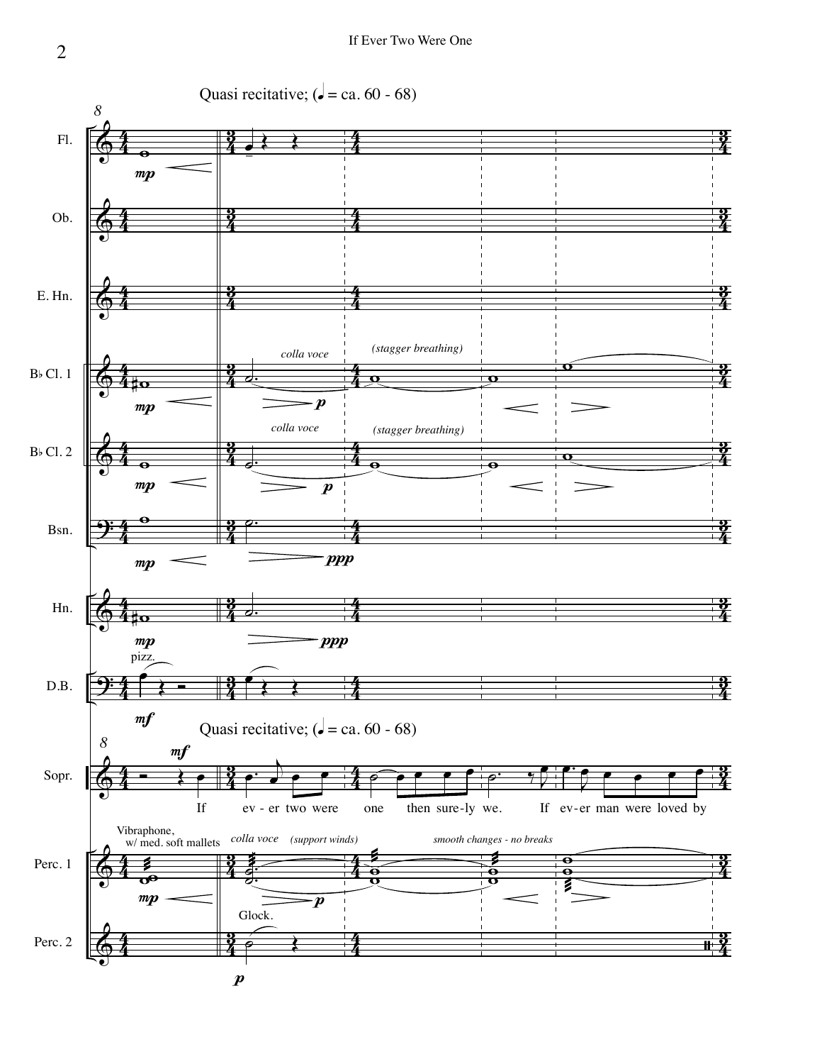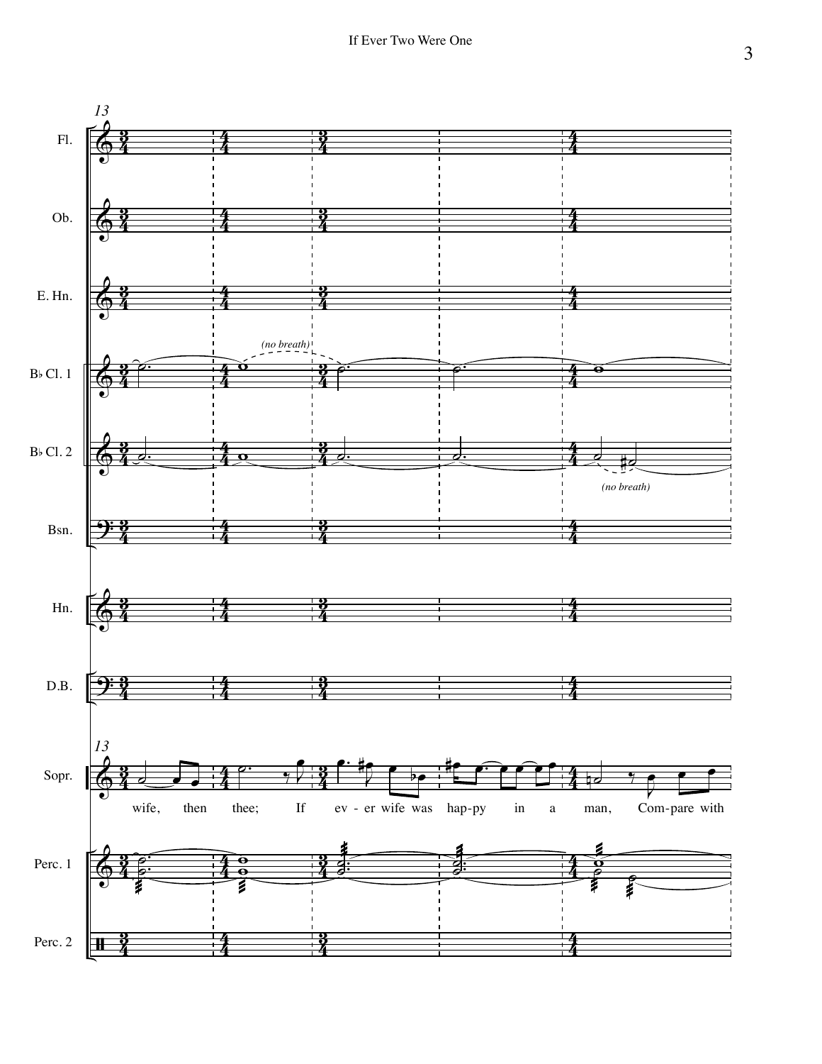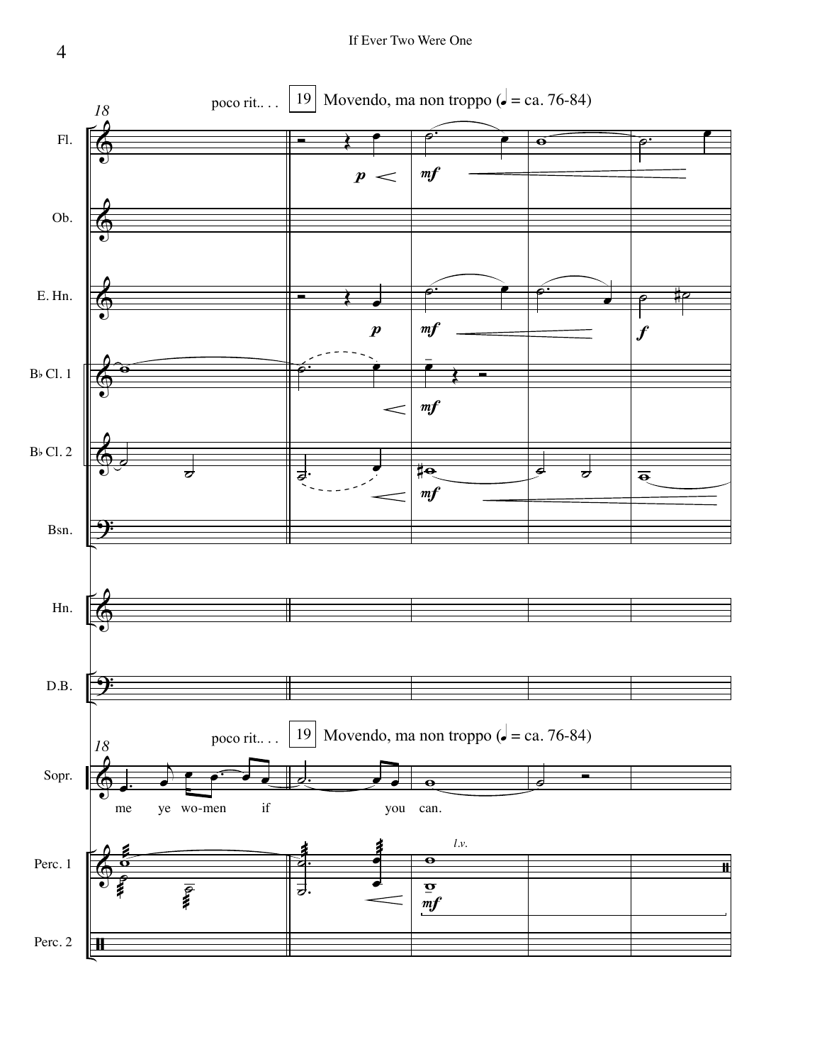## If Ever Two Were One

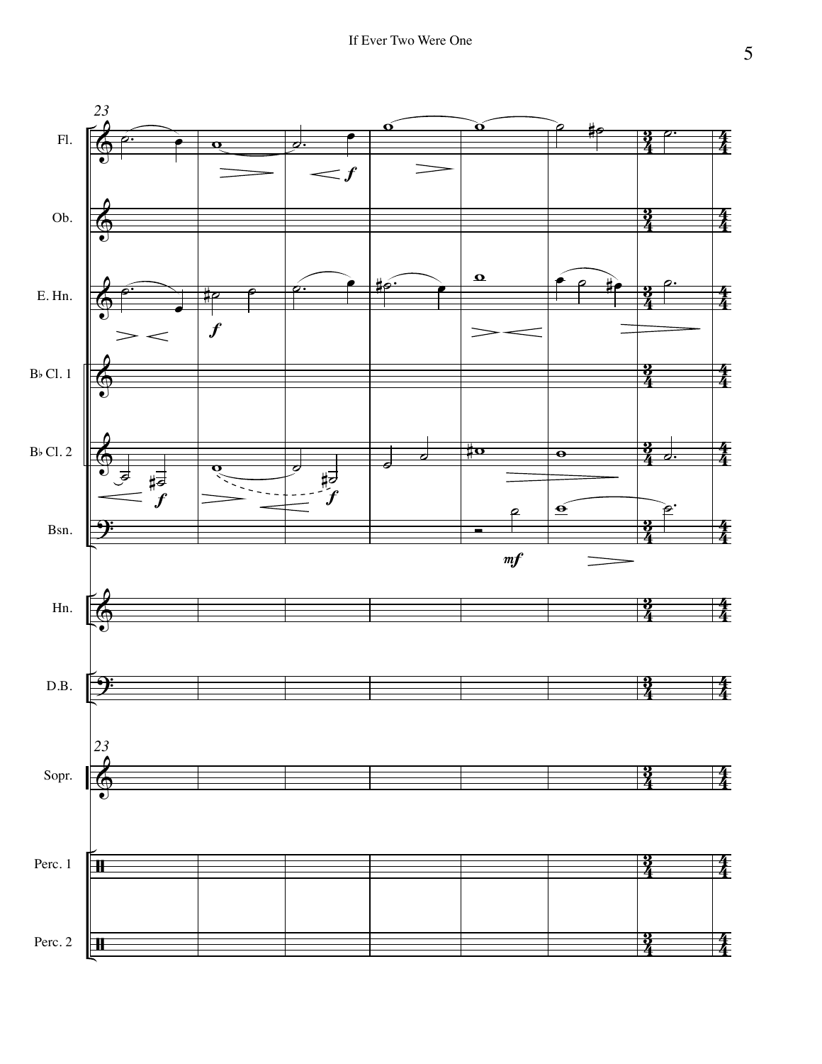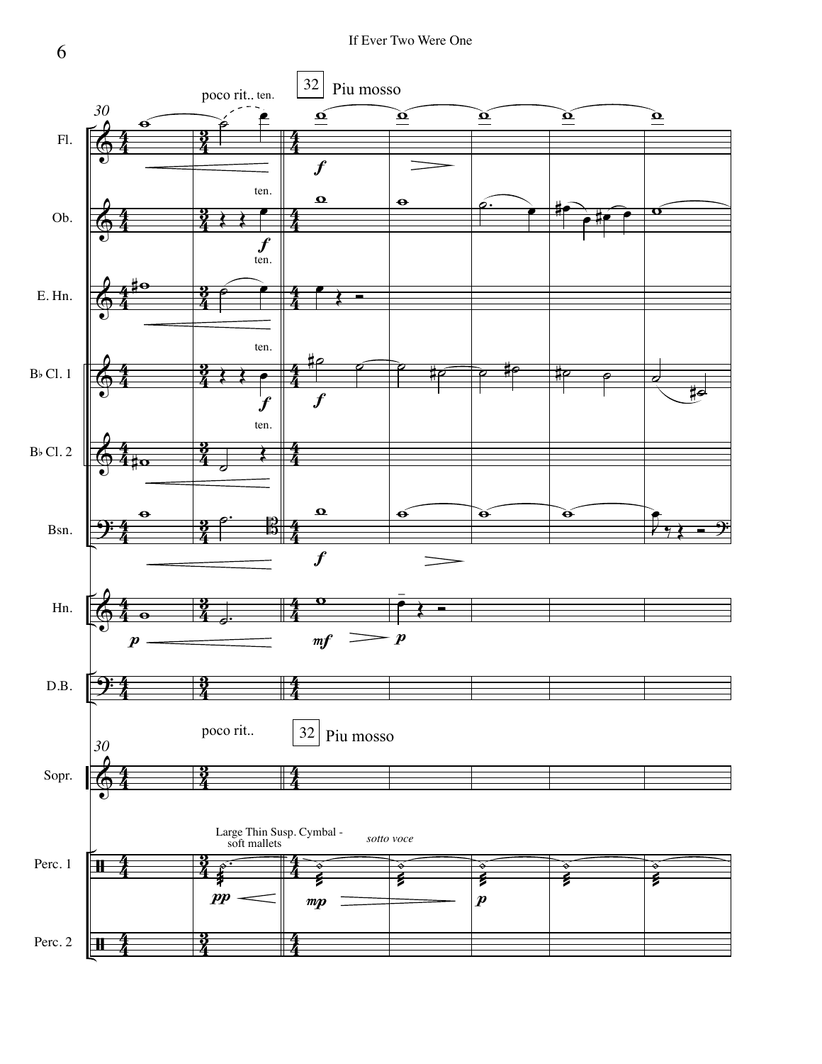## <sup>6</sup> If Ever Two Were One

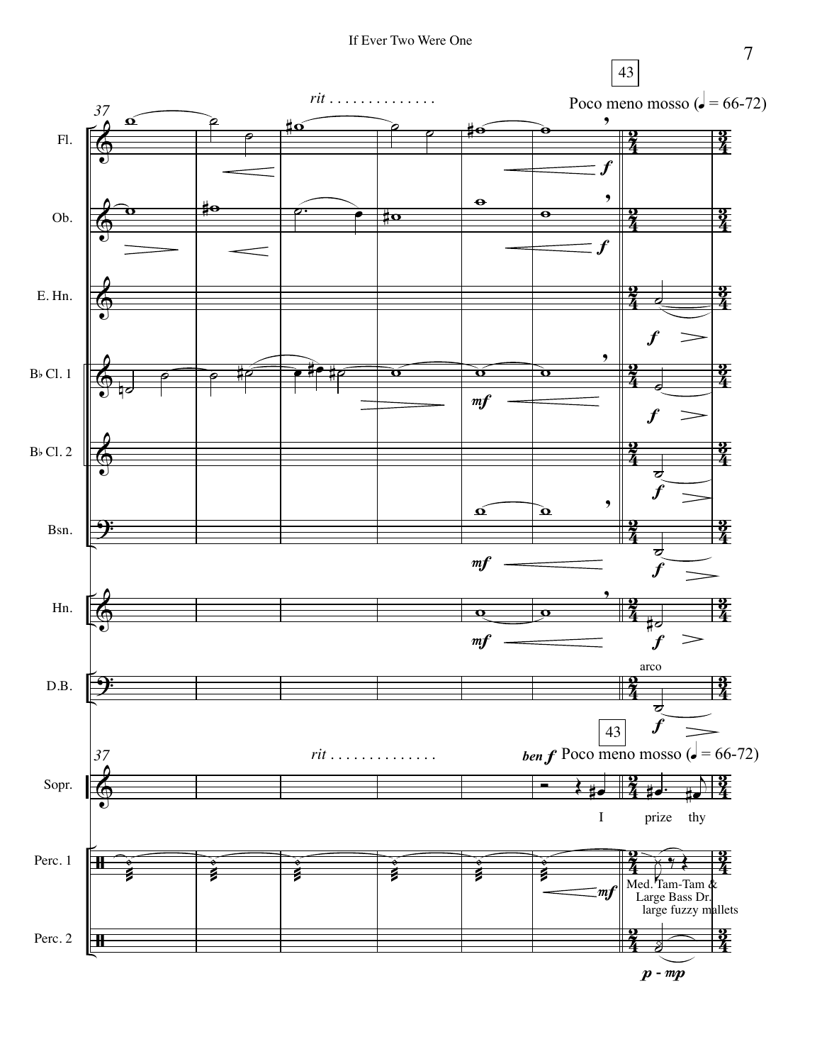



 $\boldsymbol{7}$